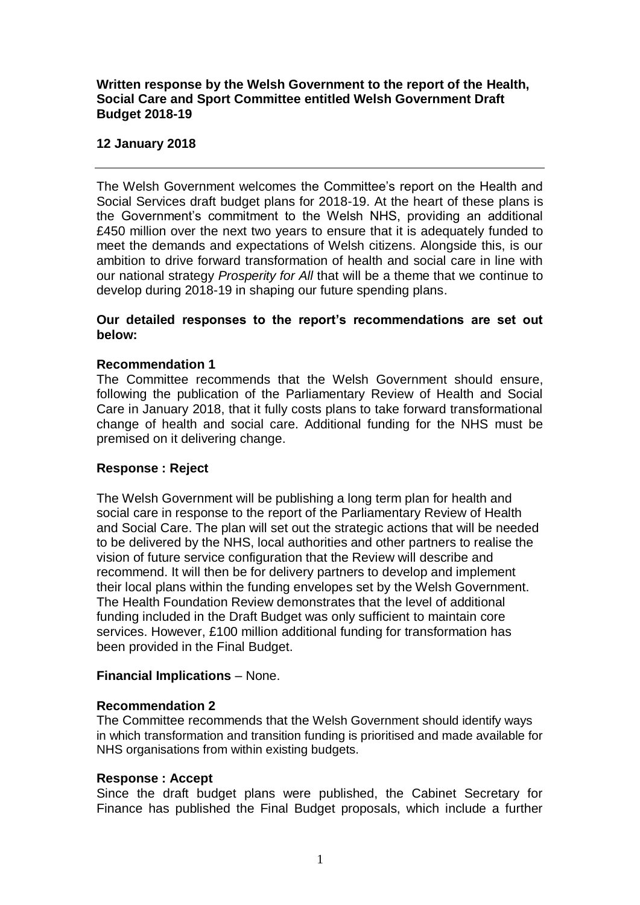## **Written response by the Welsh Government to the report of the Health, Social Care and Sport Committee entitled Welsh Government Draft Budget 2018-19**

## **12 January 2018**

The Welsh Government welcomes the Committee's report on the Health and Social Services draft budget plans for 2018-19. At the heart of these plans is the Government's commitment to the Welsh NHS, providing an additional £450 million over the next two years to ensure that it is adequately funded to meet the demands and expectations of Welsh citizens. Alongside this, is our ambition to drive forward transformation of health and social care in line with our national strategy *Prosperity for All* that will be a theme that we continue to develop during 2018-19 in shaping our future spending plans.

### **Our detailed responses to the report's recommendations are set out below:**

## **Recommendation 1**

The Committee recommends that the Welsh Government should ensure, following the publication of the Parliamentary Review of Health and Social Care in January 2018, that it fully costs plans to take forward transformational change of health and social care. Additional funding for the NHS must be premised on it delivering change.

## **Response : Reject**

The Welsh Government will be publishing a long term plan for health and social care in response to the report of the Parliamentary Review of Health and Social Care. The plan will set out the strategic actions that will be needed to be delivered by the NHS, local authorities and other partners to realise the vision of future service configuration that the Review will describe and recommend. It will then be for delivery partners to develop and implement their local plans within the funding envelopes set by the Welsh Government. The Health Foundation Review demonstrates that the level of additional funding included in the Draft Budget was only sufficient to maintain core services. However, £100 million additional funding for transformation has been provided in the Final Budget.

#### **Financial Implications** – None.

#### **Recommendation 2**

The Committee recommends that the Welsh Government should identify ways in which transformation and transition funding is prioritised and made available for NHS organisations from within existing budgets.

#### **Response : Accept**

Since the draft budget plans were published, the Cabinet Secretary for Finance has published the Final Budget proposals, which include a further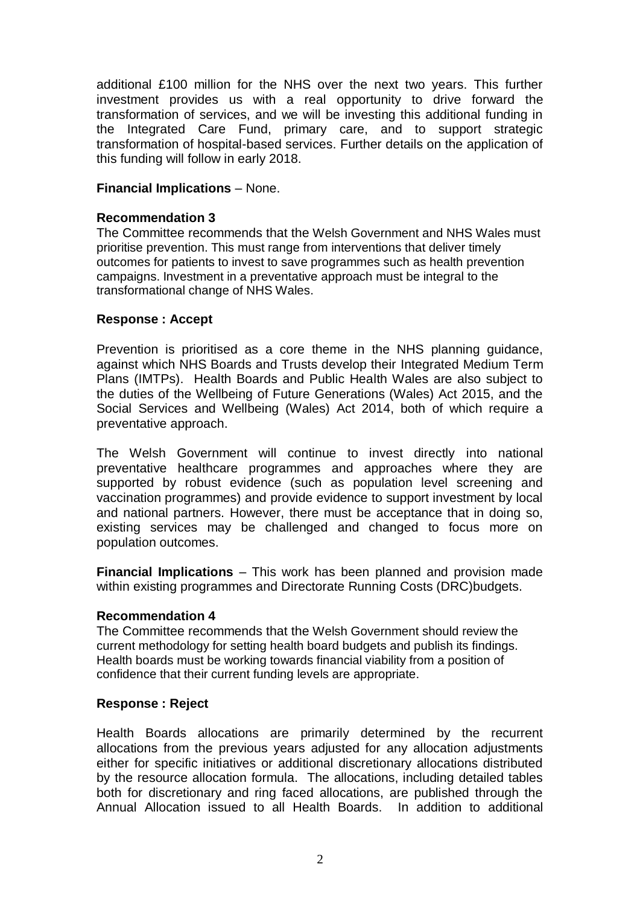additional £100 million for the NHS over the next two years. This further investment provides us with a real opportunity to drive forward the transformation of services, and we will be investing this additional funding in the Integrated Care Fund, primary care, and to support strategic transformation of hospital-based services. Further details on the application of this funding will follow in early 2018.

## **Financial Implications** – None.

# **Recommendation 3**

The Committee recommends that the Welsh Government and NHS Wales must prioritise prevention. This must range from interventions that deliver timely outcomes for patients to invest to save programmes such as health prevention campaigns. Investment in a preventative approach must be integral to the transformational change of NHS Wales.

## **Response : Accept**

Prevention is prioritised as a core theme in the NHS planning guidance, against which NHS Boards and Trusts develop their Integrated Medium Term Plans (IMTPs). Health Boards and Public Health Wales are also subject to the duties of the Wellbeing of Future Generations (Wales) Act 2015, and the Social Services and Wellbeing (Wales) Act 2014, both of which require a preventative approach.

The Welsh Government will continue to invest directly into national preventative healthcare programmes and approaches where they are supported by robust evidence (such as population level screening and vaccination programmes) and provide evidence to support investment by local and national partners. However, there must be acceptance that in doing so, existing services may be challenged and changed to focus more on population outcomes.

**Financial Implications** – This work has been planned and provision made within existing programmes and Directorate Running Costs (DRC)budgets.

## **Recommendation 4**

The Committee recommends that the Welsh Government should review the current methodology for setting health board budgets and publish its findings. Health boards must be working towards financial viability from a position of confidence that their current funding levels are appropriate.

## **Response : Reject**

Health Boards allocations are primarily determined by the recurrent allocations from the previous years adjusted for any allocation adjustments either for specific initiatives or additional discretionary allocations distributed by the resource allocation formula. The allocations, including detailed tables both for discretionary and ring faced allocations, are published through the Annual Allocation issued to all Health Boards. In addition to additional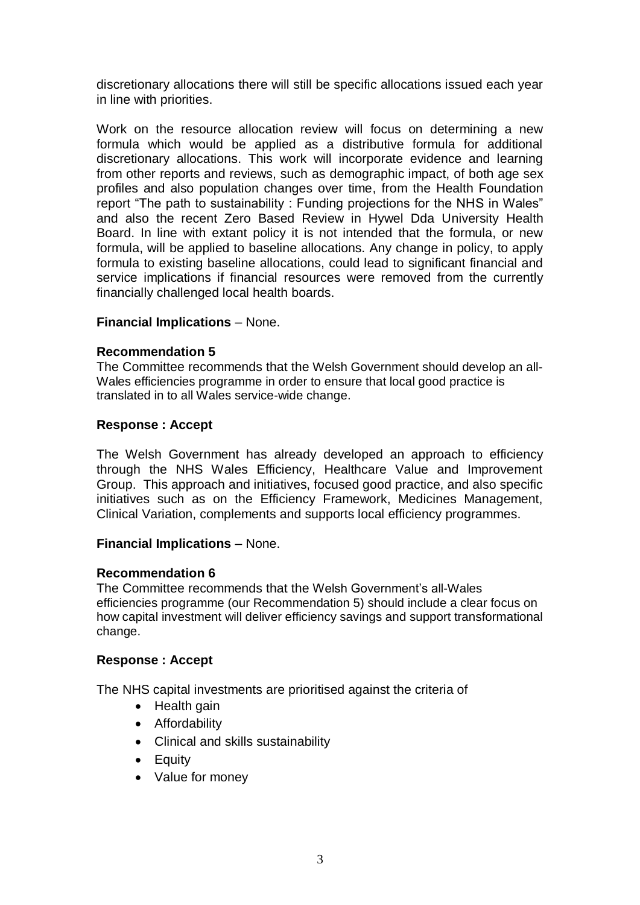discretionary allocations there will still be specific allocations issued each year in line with priorities.

Work on the resource allocation review will focus on determining a new formula which would be applied as a distributive formula for additional discretionary allocations. This work will incorporate evidence and learning from other reports and reviews, such as demographic impact, of both age sex profiles and also population changes over time, from the Health Foundation report "The path to sustainability : Funding projections for the NHS in Wales" and also the recent Zero Based Review in Hywel Dda University Health Board. In line with extant policy it is not intended that the formula, or new formula, will be applied to baseline allocations. Any change in policy, to apply formula to existing baseline allocations, could lead to significant financial and service implications if financial resources were removed from the currently financially challenged local health boards.

### **Financial Implications** – None.

### **Recommendation 5**

The Committee recommends that the Welsh Government should develop an all-Wales efficiencies programme in order to ensure that local good practice is translated in to all Wales service-wide change.

### **Response : Accept**

The Welsh Government has already developed an approach to efficiency through the NHS Wales Efficiency, Healthcare Value and Improvement Group. This approach and initiatives, focused good practice, and also specific initiatives such as on the Efficiency Framework, Medicines Management, Clinical Variation, complements and supports local efficiency programmes.

#### **Financial Implications** – None.

#### **Recommendation 6**

The Committee recommends that the Welsh Government's all-Wales efficiencies programme (our Recommendation 5) should include a clear focus on how capital investment will deliver efficiency savings and support transformational change.

#### **Response : Accept**

The NHS capital investments are prioritised against the criteria of

- Health gain
- **•** Affordability
- Clinical and skills sustainability
- Equity
- Value for money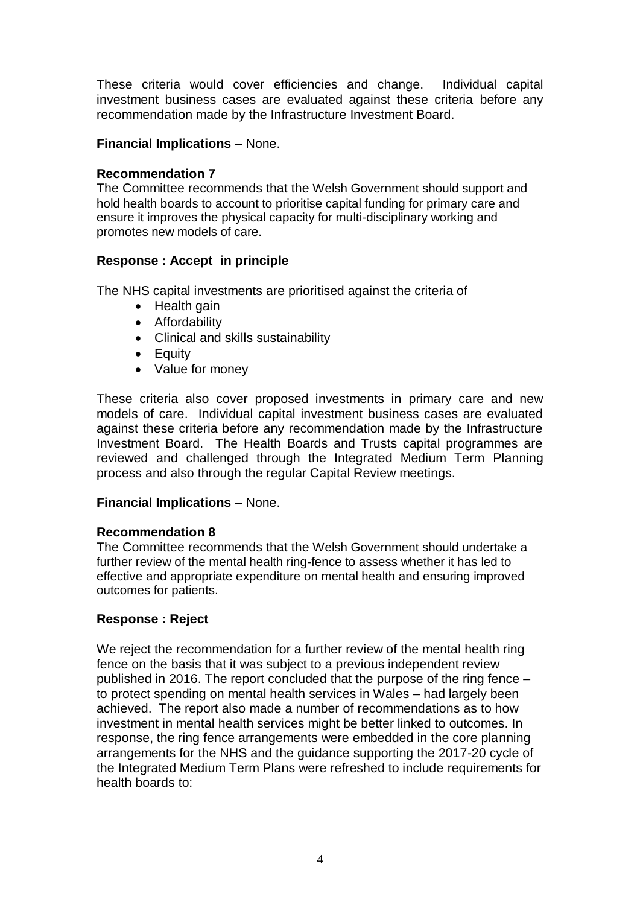These criteria would cover efficiencies and change. Individual capital investment business cases are evaluated against these criteria before any recommendation made by the Infrastructure Investment Board.

# **Financial Implications** – None.

# **Recommendation 7**

The Committee recommends that the Welsh Government should support and hold health boards to account to prioritise capital funding for primary care and ensure it improves the physical capacity for multi-disciplinary working and promotes new models of care.

# **Response : Accept in principle**

The NHS capital investments are prioritised against the criteria of

- Health gain
- **•** Affordability
- Clinical and skills sustainability
- Equity
- Value for money

These criteria also cover proposed investments in primary care and new models of care. Individual capital investment business cases are evaluated against these criteria before any recommendation made by the Infrastructure Investment Board. The Health Boards and Trusts capital programmes are reviewed and challenged through the Integrated Medium Term Planning process and also through the regular Capital Review meetings.

## **Financial Implications** – None.

## **Recommendation 8**

The Committee recommends that the Welsh Government should undertake a further review of the mental health ring-fence to assess whether it has led to effective and appropriate expenditure on mental health and ensuring improved outcomes for patients.

## **Response : Reject**

We reject the recommendation for a further review of the mental health ring fence on the basis that it was subject to a previous independent review published in 2016. The report concluded that the purpose of the ring fence – to protect spending on mental health services in Wales – had largely been achieved. The report also made a number of recommendations as to how investment in mental health services might be better linked to outcomes. In response, the ring fence arrangements were embedded in the core planning arrangements for the NHS and the guidance supporting the 2017-20 cycle of the Integrated Medium Term Plans were refreshed to include requirements for health boards to: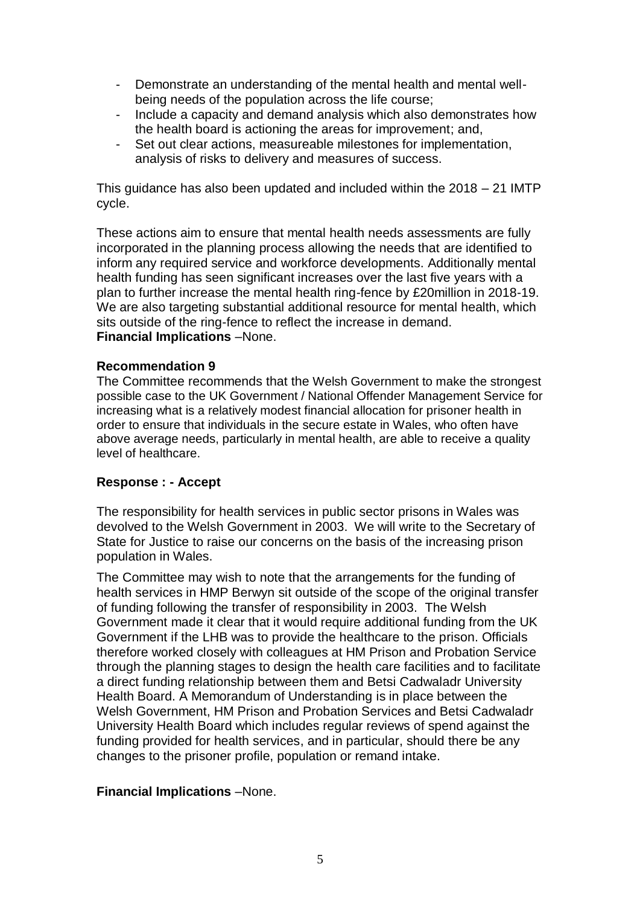- Demonstrate an understanding of the mental health and mental wellbeing needs of the population across the life course;
- Include a capacity and demand analysis which also demonstrates how the health board is actioning the areas for improvement; and,
- Set out clear actions, measureable milestones for implementation, analysis of risks to delivery and measures of success.

This guidance has also been updated and included within the 2018 – 21 IMTP cycle.

These actions aim to ensure that mental health needs assessments are fully incorporated in the planning process allowing the needs that are identified to inform any required service and workforce developments. Additionally mental health funding has seen significant increases over the last five years with a plan to further increase the mental health ring-fence by £20million in 2018-19. We are also targeting substantial additional resource for mental health, which sits outside of the ring-fence to reflect the increase in demand. **Financial Implications** –None.

### **Recommendation 9**

The Committee recommends that the Welsh Government to make the strongest possible case to the UK Government / National Offender Management Service for increasing what is a relatively modest financial allocation for prisoner health in order to ensure that individuals in the secure estate in Wales, who often have above average needs, particularly in mental health, are able to receive a quality level of healthcare.

#### **Response : - Accept**

The responsibility for health services in public sector prisons in Wales was devolved to the Welsh Government in 2003. We will write to the Secretary of State for Justice to raise our concerns on the basis of the increasing prison population in Wales.

The Committee may wish to note that the arrangements for the funding of health services in HMP Berwyn sit outside of the scope of the original transfer of funding following the transfer of responsibility in 2003. The Welsh Government made it clear that it would require additional funding from the UK Government if the LHB was to provide the healthcare to the prison. Officials therefore worked closely with colleagues at HM Prison and Probation Service through the planning stages to design the health care facilities and to facilitate a direct funding relationship between them and Betsi Cadwaladr University Health Board. A Memorandum of Understanding is in place between the Welsh Government, HM Prison and Probation Services and Betsi Cadwaladr University Health Board which includes regular reviews of spend against the funding provided for health services, and in particular, should there be any changes to the prisoner profile, population or remand intake.

#### **Financial Implications** –None.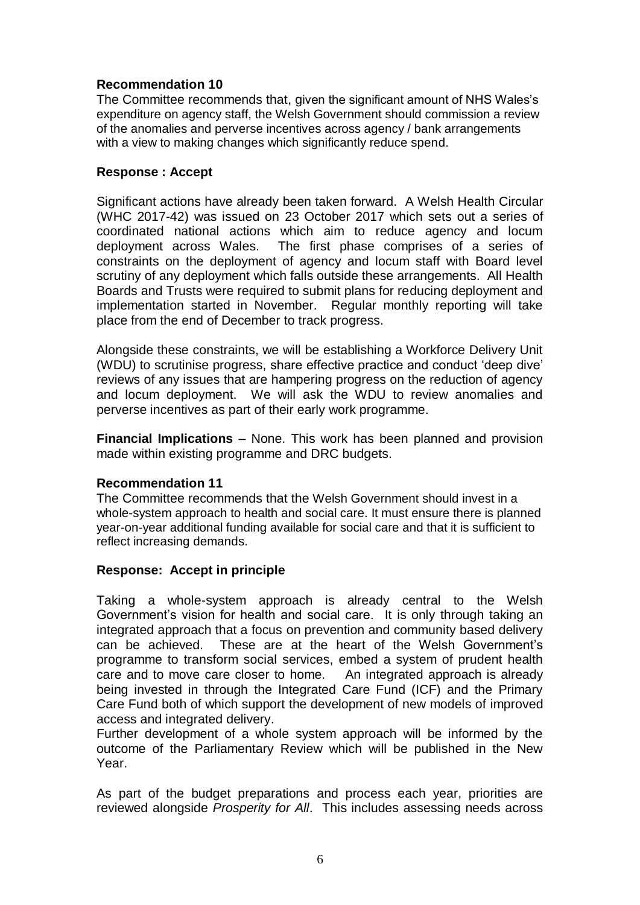# **Recommendation 10**

The Committee recommends that, given the significant amount of NHS Wales's expenditure on agency staff, the Welsh Government should commission a review of the anomalies and perverse incentives across agency / bank arrangements with a view to making changes which significantly reduce spend.

## **Response : Accept**

Significant actions have already been taken forward. A Welsh Health Circular (WHC 2017-42) was issued on 23 October 2017 which sets out a series of coordinated national actions which aim to reduce agency and locum deployment across Wales. The first phase comprises of a series of constraints on the deployment of agency and locum staff with Board level scrutiny of any deployment which falls outside these arrangements. All Health Boards and Trusts were required to submit plans for reducing deployment and implementation started in November. Regular monthly reporting will take place from the end of December to track progress.

Alongside these constraints, we will be establishing a Workforce Delivery Unit (WDU) to scrutinise progress, share effective practice and conduct 'deep dive' reviews of any issues that are hampering progress on the reduction of agency and locum deployment. We will ask the WDU to review anomalies and perverse incentives as part of their early work programme.

**Financial Implications** – None. This work has been planned and provision made within existing programme and DRC budgets.

## **Recommendation 11**

The Committee recommends that the Welsh Government should invest in a whole-system approach to health and social care. It must ensure there is planned year-on-year additional funding available for social care and that it is sufficient to reflect increasing demands.

# **Response: Accept in principle**

Taking a whole-system approach is already central to the Welsh Government's vision for health and social care. It is only through taking an integrated approach that a focus on prevention and community based delivery can be achieved. These are at the heart of the Welsh Government's programme to transform social services, embed a system of prudent health care and to move care closer to home. An integrated approach is already being invested in through the Integrated Care Fund (ICF) and the Primary Care Fund both of which support the development of new models of improved access and integrated delivery.

Further development of a whole system approach will be informed by the outcome of the Parliamentary Review which will be published in the New Year.

As part of the budget preparations and process each year, priorities are reviewed alongside *Prosperity for All*. This includes assessing needs across